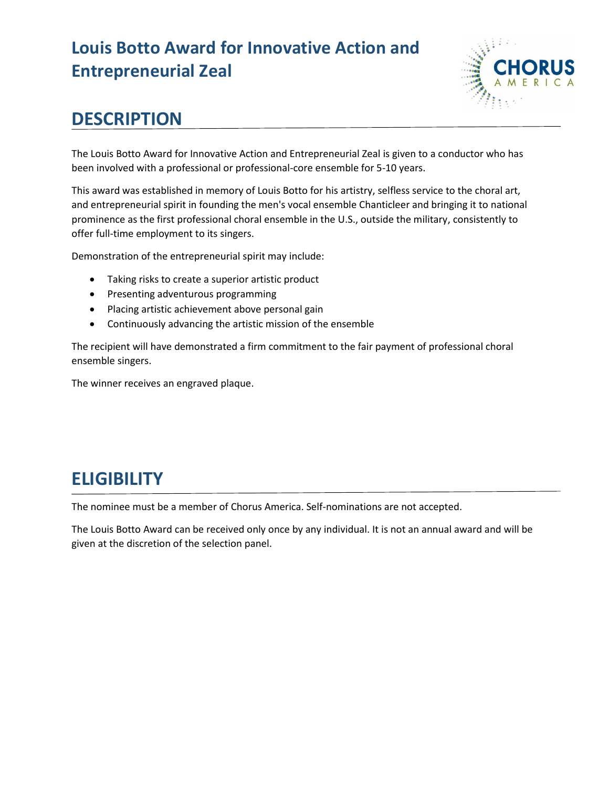# **Louis Botto Award for Innovative Action and Entrepreneurial Zeal**



#### **DESCRIPTION**

The Louis Botto Award for Innovative Action and Entrepreneurial Zeal is given to a conductor who has been involved with a professional or professional-core ensemble for 5-10 years.

This award was established in memory of Louis Botto for his artistry, selfless service to the choral art, and entrepreneurial spirit in founding the men's vocal ensemble Chanticleer and bringing it to national prominence as the first professional choral ensemble in the U.S., outside the military, consistently to offer full-time employment to its singers.

Demonstration of the entrepreneurial spirit may include:

- Taking risks to create a superior artistic product
- Presenting adventurous programming
- Placing artistic achievement above personal gain
- Continuously advancing the artistic mission of the ensemble

The recipient will have demonstrated a firm commitment to the fair payment of professional choral ensemble singers.

The winner receives an engraved plaque.

## **ELIGIBILITY**

The nominee must be a member of Chorus America. Self-nominations are not accepted.

The Louis Botto Award can be received only once by any individual. It is not an annual award and will be given at the discretion of the selection panel.